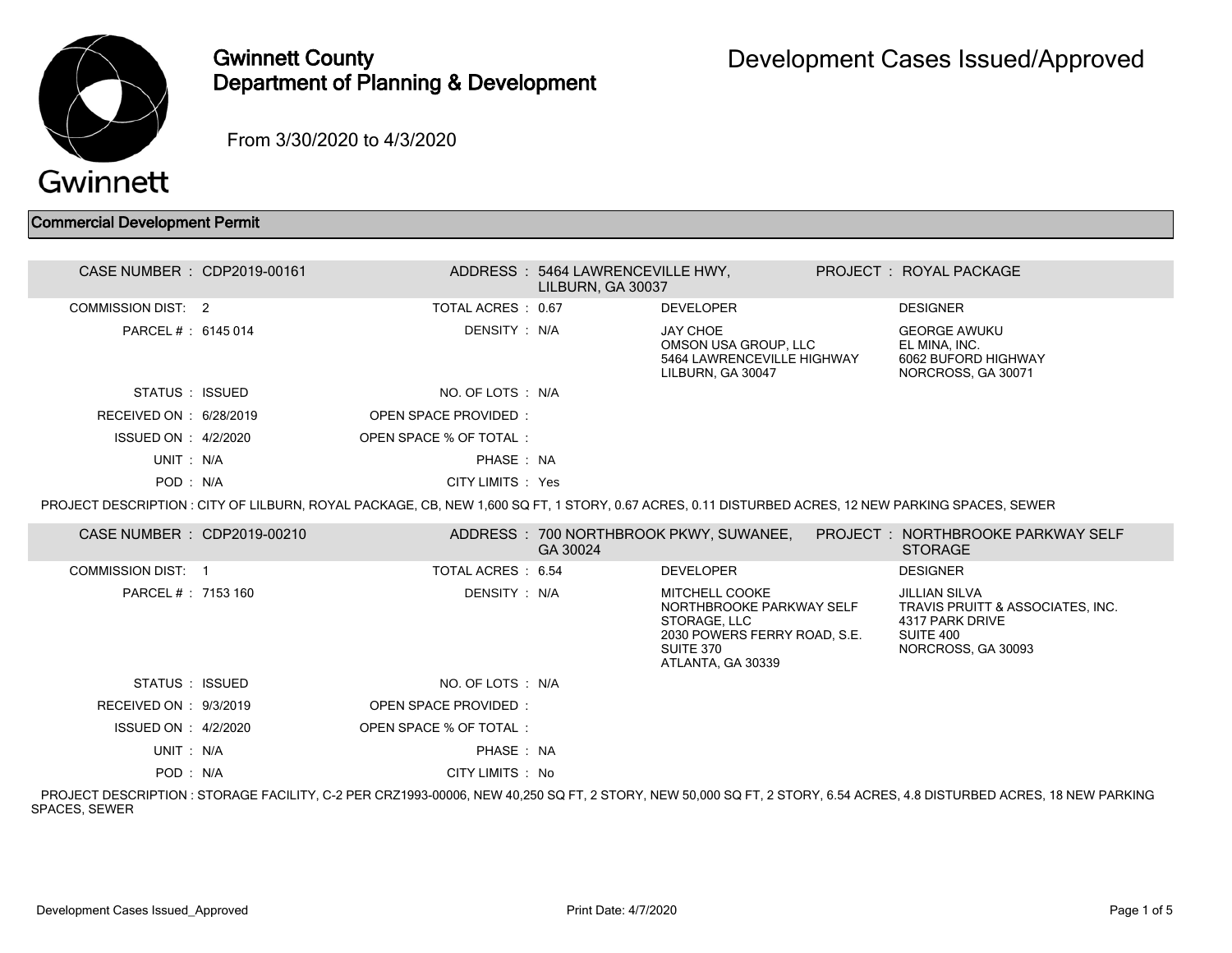

## Gwinnett County Department of Planning & Development

From 3/30/2020 to 4/3/2020

Commercial Development Permit

| CASE NUMBER : CDP2019-00161 |                                                                                                                                                    | ADDRESS: 5464 LAWRENCEVILLE HWY,<br>LILBURN. GA 30037 |                                                                                                                                     | PROJECT: ROYAL PACKAGE                                                                                                                                               |
|-----------------------------|----------------------------------------------------------------------------------------------------------------------------------------------------|-------------------------------------------------------|-------------------------------------------------------------------------------------------------------------------------------------|----------------------------------------------------------------------------------------------------------------------------------------------------------------------|
| COMMISSION DIST: 2          | TOTAL ACRES: 0.67                                                                                                                                  |                                                       | <b>DEVELOPER</b>                                                                                                                    | <b>DESIGNER</b>                                                                                                                                                      |
| PARCEL #: 6145 014          | DENSITY : N/A                                                                                                                                      |                                                       | <b>JAY CHOE</b><br>OMSON USA GROUP. LLC<br>5464 LAWRENCEVILLE HIGHWAY<br>LILBURN, GA 30047                                          | <b>GEORGE AWUKU</b><br>EL MINA. INC.<br>6062 BUFORD HIGHWAY<br>NORCROSS, GA 30071                                                                                    |
| STATUS : ISSUED             | NO. OF LOTS : N/A                                                                                                                                  |                                                       |                                                                                                                                     |                                                                                                                                                                      |
| RECEIVED ON : 6/28/2019     | <b>OPEN SPACE PROVIDED:</b>                                                                                                                        |                                                       |                                                                                                                                     |                                                                                                                                                                      |
| ISSUED ON : 4/2/2020        | OPEN SPACE % OF TOTAL:                                                                                                                             |                                                       |                                                                                                                                     |                                                                                                                                                                      |
| UNIT: N/A                   | PHASE: NA                                                                                                                                          |                                                       |                                                                                                                                     |                                                                                                                                                                      |
| POD: N/A                    | CITY LIMITS : Yes                                                                                                                                  |                                                       |                                                                                                                                     |                                                                                                                                                                      |
|                             | PROJECT DESCRIPTION : CITY OF LILBURN, ROYAL PACKAGE, CB, NEW 1,600 SQ FT, 1 STORY, 0.67 ACRES, 0.11 DISTURBED ACRES, 12 NEW PARKING SPACES, SEWER |                                                       |                                                                                                                                     |                                                                                                                                                                      |
| CASE NUMBER : CDP2019-00210 |                                                                                                                                                    | GA 30024                                              | ADDRESS : 700 NORTHBROOK PKWY, SUWANEE,                                                                                             | <b>PROJECT : NORTHBROOKE PARKWAY SELF</b><br><b>STORAGE</b>                                                                                                          |
| <b>COMMISSION DIST: 1</b>   | TOTAL ACRES: 6.54                                                                                                                                  |                                                       | <b>DEVELOPER</b>                                                                                                                    | <b>DESIGNER</b>                                                                                                                                                      |
| PARCEL #: 7153 160          | DENSITY : N/A                                                                                                                                      |                                                       | <b>MITCHELL COOKE</b><br>NORTHBROOKE PARKWAY SELF<br>STORAGE, LLC<br>2030 POWERS FERRY ROAD, S.E.<br>SUITE 370<br>ATLANTA, GA 30339 | <b>JILLIAN SILVA</b><br>TRAVIS PRUITT & ASSOCIATES. INC.<br>4317 PARK DRIVE<br>SUITE 400<br>NORCROSS, GA 30093                                                       |
| STATUS : ISSUED             | NO. OF LOTS : N/A                                                                                                                                  |                                                       |                                                                                                                                     |                                                                                                                                                                      |
| RECEIVED ON : 9/3/2019      | OPEN SPACE PROVIDED:                                                                                                                               |                                                       |                                                                                                                                     |                                                                                                                                                                      |
| ISSUED ON : 4/2/2020        | OPEN SPACE % OF TOTAL:                                                                                                                             |                                                       |                                                                                                                                     |                                                                                                                                                                      |
| UNIT: N/A                   | PHASE: NA                                                                                                                                          |                                                       |                                                                                                                                     |                                                                                                                                                                      |
| POD: N/A                    | CITY LIMITS : No                                                                                                                                   |                                                       |                                                                                                                                     |                                                                                                                                                                      |
|                             |                                                                                                                                                    |                                                       |                                                                                                                                     | PROJECT DESCRIPTION : STORAGE FACILITY, C-2 PER CRZ1993-00006, NEW 40,250 SQ FT, 2 STORY, NEW 50,000 SQ FT, 2 STORY, 6.54 ACRES, 4.8 DISTURBED ACRES, 18 NEW PARKING |

SPACES, SEWER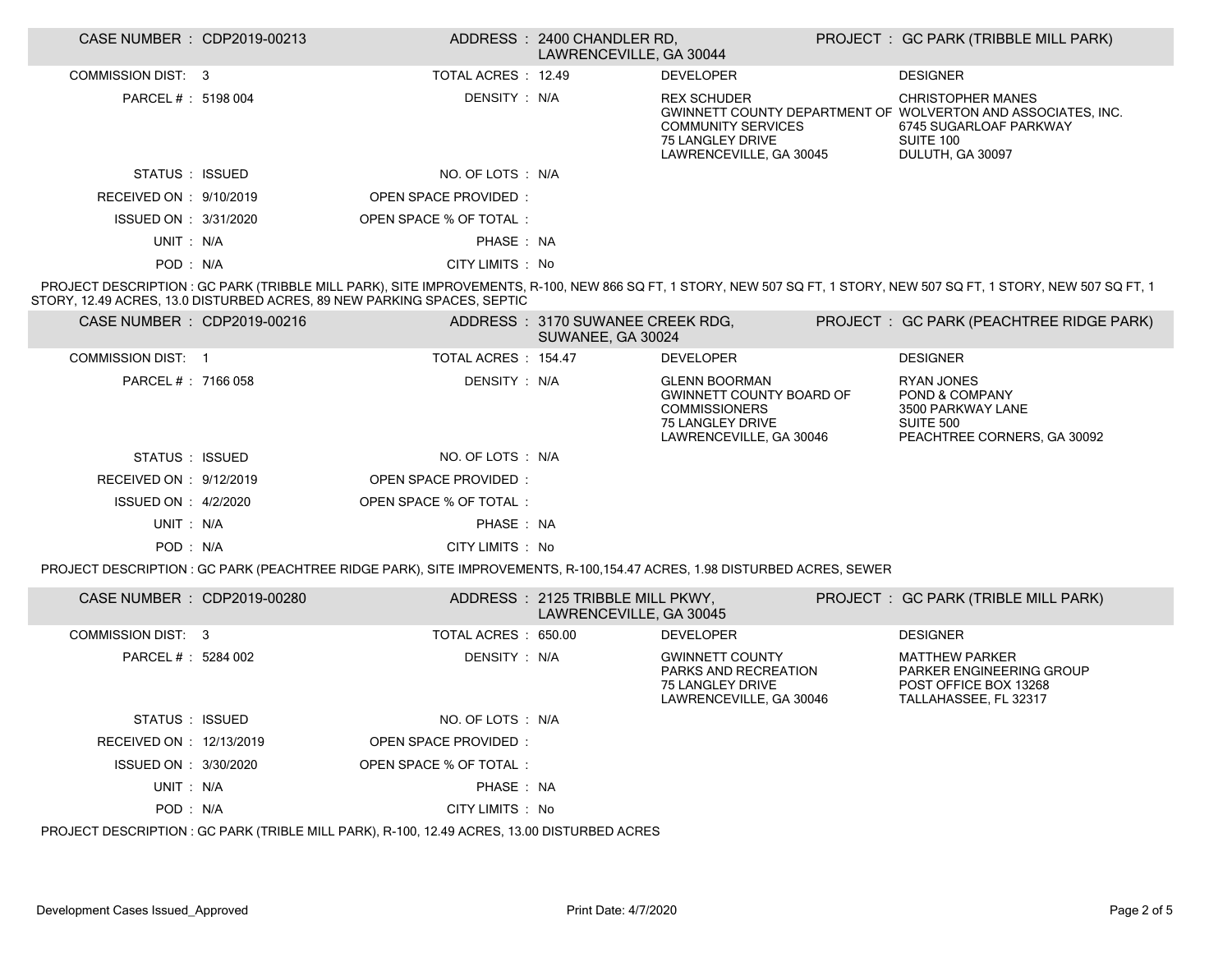| CASE NUMBER : CDP2019-00213 |                                                                                                                         | ADDRESS: 2400 CHANDLER RD,<br>LAWRENCEVILLE, GA 30044       |                                                                                                                                | PROJECT : GC PARK (TRIBBLE MILL PARK)                                                                                                                                                                                 |
|-----------------------------|-------------------------------------------------------------------------------------------------------------------------|-------------------------------------------------------------|--------------------------------------------------------------------------------------------------------------------------------|-----------------------------------------------------------------------------------------------------------------------------------------------------------------------------------------------------------------------|
| <b>COMMISSION DIST: 3</b>   | TOTAL ACRES : 12.49                                                                                                     |                                                             | <b>DEVELOPER</b>                                                                                                               | <b>DESIGNER</b>                                                                                                                                                                                                       |
| PARCEL #: 5198 004          | DENSITY: N/A                                                                                                            |                                                             | <b>REX SCHUDER</b><br><b>COMMUNITY SERVICES</b><br>75 LANGLEY DRIVE<br>LAWRENCEVILLE, GA 30045                                 | <b>CHRISTOPHER MANES</b><br>GWINNETT COUNTY DEPARTMENT OF WOLVERTON AND ASSOCIATES, INC.<br>6745 SUGARLOAF PARKWAY<br><b>SUITE 100</b><br>DULUTH, GA 30097                                                            |
| STATUS : ISSUED             | NO. OF LOTS : N/A                                                                                                       |                                                             |                                                                                                                                |                                                                                                                                                                                                                       |
| RECEIVED ON : 9/10/2019     | OPEN SPACE PROVIDED:                                                                                                    |                                                             |                                                                                                                                |                                                                                                                                                                                                                       |
| ISSUED ON : 3/31/2020       | OPEN SPACE % OF TOTAL:                                                                                                  |                                                             |                                                                                                                                |                                                                                                                                                                                                                       |
| UNIT: N/A                   | PHASE: NA                                                                                                               |                                                             |                                                                                                                                |                                                                                                                                                                                                                       |
| POD: N/A                    | CITY LIMITS : No                                                                                                        |                                                             |                                                                                                                                |                                                                                                                                                                                                                       |
|                             | STORY, 12.49 ACRES, 13.0 DISTURBED ACRES, 89 NEW PARKING SPACES, SEPTIC                                                 |                                                             |                                                                                                                                | PROJECT DESCRIPTION : GC PARK (TRIBBLE MILL PARK), SITE IMPROVEMENTS, R-100, NEW 866 SQ FT, 1 STORY, NEW 507 SQ FT, 1 STORY, NEW 507 SQ FT, 1 STORY, NEW 507 SQ FT, 1 STORY, NEW 507 SQ FT, 1 STORY, NEW 507 SQ FT, 1 |
| CASE NUMBER : CDP2019-00216 |                                                                                                                         | ADDRESS: 3170 SUWANEE CREEK RDG,<br>SUWANEE, GA 30024       |                                                                                                                                | PROJECT : GC PARK (PEACHTREE RIDGE PARK)                                                                                                                                                                              |
| <b>COMMISSION DIST: 1</b>   | TOTAL ACRES: 154.47                                                                                                     |                                                             | <b>DEVELOPER</b>                                                                                                               | <b>DESIGNER</b>                                                                                                                                                                                                       |
| PARCEL #: 7166 058          | DENSITY: N/A                                                                                                            |                                                             | <b>GLENN BOORMAN</b><br><b>GWINNETT COUNTY BOARD OF</b><br><b>COMMISSIONERS</b><br>75 LANGLEY DRIVE<br>LAWRENCEVILLE, GA 30046 | <b>RYAN JONES</b><br>POND & COMPANY<br>3500 PARKWAY LANE<br><b>SUITE 500</b><br>PEACHTREE CORNERS, GA 30092                                                                                                           |
| STATUS : ISSUED             | NO. OF LOTS : N/A                                                                                                       |                                                             |                                                                                                                                |                                                                                                                                                                                                                       |
| RECEIVED ON : 9/12/2019     | OPEN SPACE PROVIDED:                                                                                                    |                                                             |                                                                                                                                |                                                                                                                                                                                                                       |
| ISSUED ON : 4/2/2020        | OPEN SPACE % OF TOTAL:                                                                                                  |                                                             |                                                                                                                                |                                                                                                                                                                                                                       |
| UNIT: N/A                   | PHASE: NA                                                                                                               |                                                             |                                                                                                                                |                                                                                                                                                                                                                       |
| POD: N/A                    | CITY LIMITS : No                                                                                                        |                                                             |                                                                                                                                |                                                                                                                                                                                                                       |
|                             | PROJECT DESCRIPTION: GC PARK (PEACHTREE RIDGE PARK), SITE IMPROVEMENTS, R-100,154.47 ACRES, 1.98 DISTURBED ACRES, SEWER |                                                             |                                                                                                                                |                                                                                                                                                                                                                       |
| CASE NUMBER : CDP2019-00280 |                                                                                                                         | ADDRESS: 2125 TRIBBLE MILL PKWY,<br>LAWRENCEVILLE, GA 30045 |                                                                                                                                | PROJECT : GC PARK (TRIBLE MILL PARK)                                                                                                                                                                                  |
| <b>COMMISSION DIST: 3</b>   | TOTAL ACRES : 650.00                                                                                                    |                                                             | <b>DEVELOPER</b>                                                                                                               | <b>DESIGNER</b>                                                                                                                                                                                                       |
| PARCEL # : 5284 002         | DENSITY: N/A                                                                                                            |                                                             | <b>GWINNETT COUNTY</b><br>PARKS AND RECREATION<br>75 LANGLEY DRIVE<br>LAWRENCEVILLE, GA 30046                                  | <b>MATTHEW PARKER</b><br>PARKER ENGINEERING GROUP<br>POST OFFICE BOX 13268<br>TALLAHASSEE, FL 32317                                                                                                                   |
| STATUS : ISSUED             | NO. OF LOTS : N/A                                                                                                       |                                                             |                                                                                                                                |                                                                                                                                                                                                                       |
| RECEIVED ON : 12/13/2019    | <b>OPEN SPACE PROVIDED:</b>                                                                                             |                                                             |                                                                                                                                |                                                                                                                                                                                                                       |
| ISSUED ON : 3/30/2020       | OPEN SPACE % OF TOTAL:                                                                                                  |                                                             |                                                                                                                                |                                                                                                                                                                                                                       |
| UNIT : N/A                  | PHASE: NA                                                                                                               |                                                             |                                                                                                                                |                                                                                                                                                                                                                       |
| POD: N/A                    | CITY LIMITS : No                                                                                                        |                                                             |                                                                                                                                |                                                                                                                                                                                                                       |
|                             | PROJECT DESCRIPTION: GC PARK (TRIBLE MILL PARK), R-100, 12.49 ACRES, 13.00 DISTURBED ACRES                              |                                                             |                                                                                                                                |                                                                                                                                                                                                                       |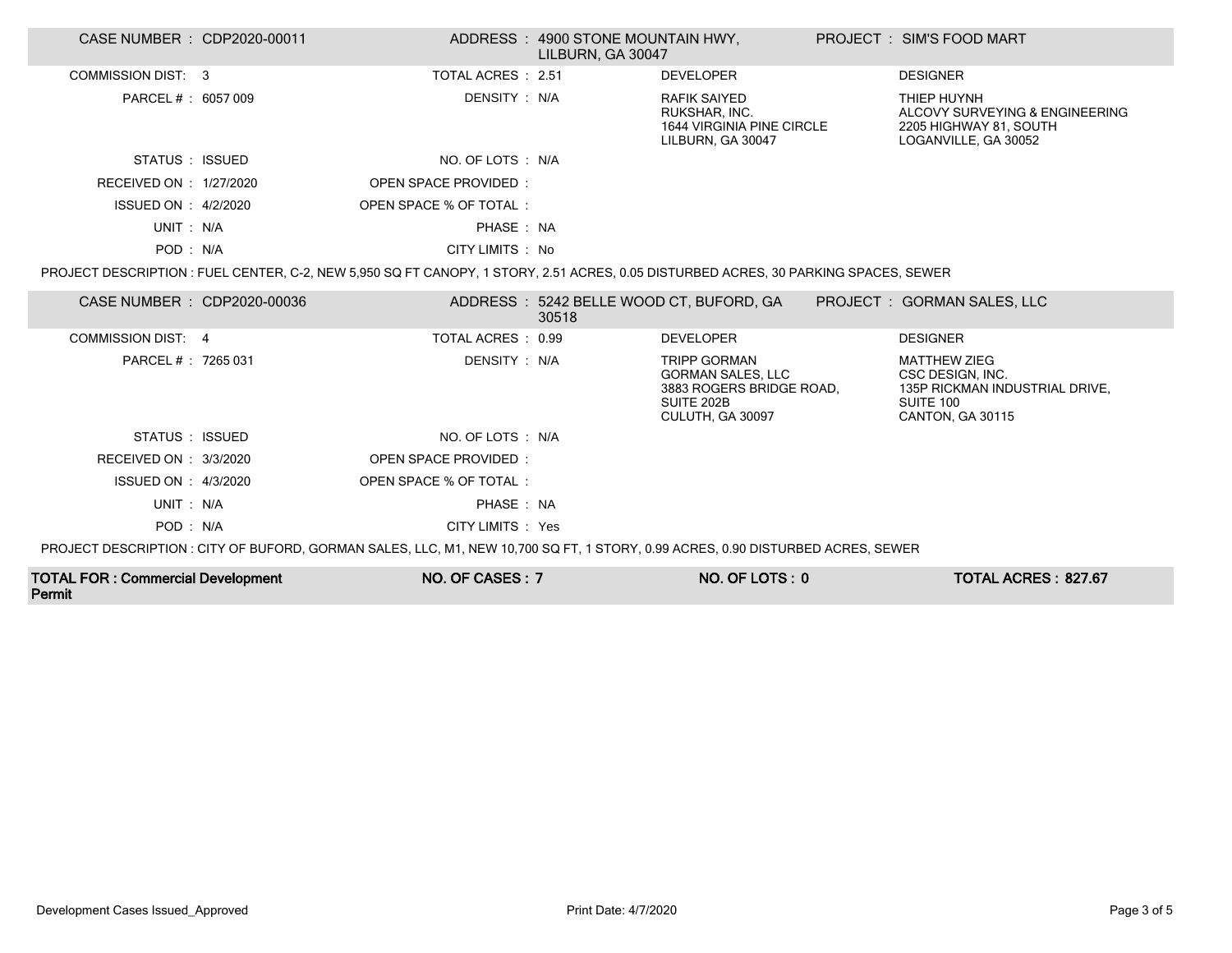| CASE NUMBER : CDP2020-00011              |                                                                                                                                    | ADDRESS: 4900 STONE MOUNTAIN HWY,<br>LILBURN, GA 30047 |                                                                                                               | PROJECT: SIM'S FOOD MART                                                                                   |
|------------------------------------------|------------------------------------------------------------------------------------------------------------------------------------|--------------------------------------------------------|---------------------------------------------------------------------------------------------------------------|------------------------------------------------------------------------------------------------------------|
| COMMISSION DIST: 3                       | TOTAL ACRES : 2.51                                                                                                                 |                                                        | <b>DEVELOPER</b>                                                                                              | <b>DESIGNER</b>                                                                                            |
| PARCEL # : 6057 009                      | DENSITY : N/A                                                                                                                      |                                                        | <b>RAFIK SAIYED</b><br>RUKSHAR, INC.<br>1644 VIRGINIA PINE CIRCLE<br>LILBURN, GA 30047                        | THIEP HUYNH<br>ALCOVY SURVEYING & ENGINEERING<br>2205 HIGHWAY 81, SOUTH<br>LOGANVILLE, GA 30052            |
| STATUS : ISSUED                          | NO. OF LOTS : N/A                                                                                                                  |                                                        |                                                                                                               |                                                                                                            |
| RECEIVED ON : 1/27/2020                  | OPEN SPACE PROVIDED:                                                                                                               |                                                        |                                                                                                               |                                                                                                            |
| ISSUED ON : 4/2/2020                     | OPEN SPACE % OF TOTAL:                                                                                                             |                                                        |                                                                                                               |                                                                                                            |
| UNIT: N/A                                | PHASE: NA                                                                                                                          |                                                        |                                                                                                               |                                                                                                            |
| POD: N/A                                 | CITY LIMITS : No                                                                                                                   |                                                        |                                                                                                               |                                                                                                            |
|                                          | PROJECT DESCRIPTION: FUEL CENTER, C-2, NEW 5,950 SQ FT CANOPY, 1 STORY, 2.51 ACRES, 0.05 DISTURBED ACRES, 30 PARKING SPACES, SEWER |                                                        |                                                                                                               |                                                                                                            |
| CASE NUMBER : CDP2020-00036              |                                                                                                                                    | 30518                                                  | ADDRESS: 5242 BELLE WOOD CT, BUFORD, GA                                                                       | PROJECT : GORMAN SALES, LLC                                                                                |
| COMMISSION DIST: 4                       | TOTAL ACRES : 0.99                                                                                                                 |                                                        | <b>DEVELOPER</b>                                                                                              | <b>DESIGNER</b>                                                                                            |
| PARCEL # : 7265 031                      | DENSITY : N/A                                                                                                                      |                                                        | <b>TRIPP GORMAN</b><br><b>GORMAN SALES, LLC</b><br>3883 ROGERS BRIDGE ROAD,<br>SUITE 202B<br>CULUTH, GA 30097 | <b>MATTHEW ZIEG</b><br>CSC DESIGN, INC.<br>135P RICKMAN INDUSTRIAL DRIVE,<br>SUITE 100<br>CANTON, GA 30115 |
| STATUS : ISSUED                          | NO. OF LOTS : N/A                                                                                                                  |                                                        |                                                                                                               |                                                                                                            |
| RECEIVED ON : 3/3/2020                   | OPEN SPACE PROVIDED:                                                                                                               |                                                        |                                                                                                               |                                                                                                            |
| ISSUED ON : 4/3/2020                     | OPEN SPACE % OF TOTAL:                                                                                                             |                                                        |                                                                                                               |                                                                                                            |
| UNIT: N/A                                | PHASE: NA                                                                                                                          |                                                        |                                                                                                               |                                                                                                            |
| POD: N/A                                 | CITY LIMITS : Yes                                                                                                                  |                                                        |                                                                                                               |                                                                                                            |
|                                          | PROJECT DESCRIPTION: CITY OF BUFORD, GORMAN SALES, LLC, M1, NEW 10,700 SQ FT, 1 STORY, 0.99 ACRES, 0.90 DISTURBED ACRES, SEWER     |                                                        |                                                                                                               |                                                                                                            |
| <b>TOTAL FOR: Commercial Development</b> | NO. OF CASES: 7                                                                                                                    |                                                        | NO. OF LOTS: 0                                                                                                | TOTAL ACRES: 827.67                                                                                        |

Permit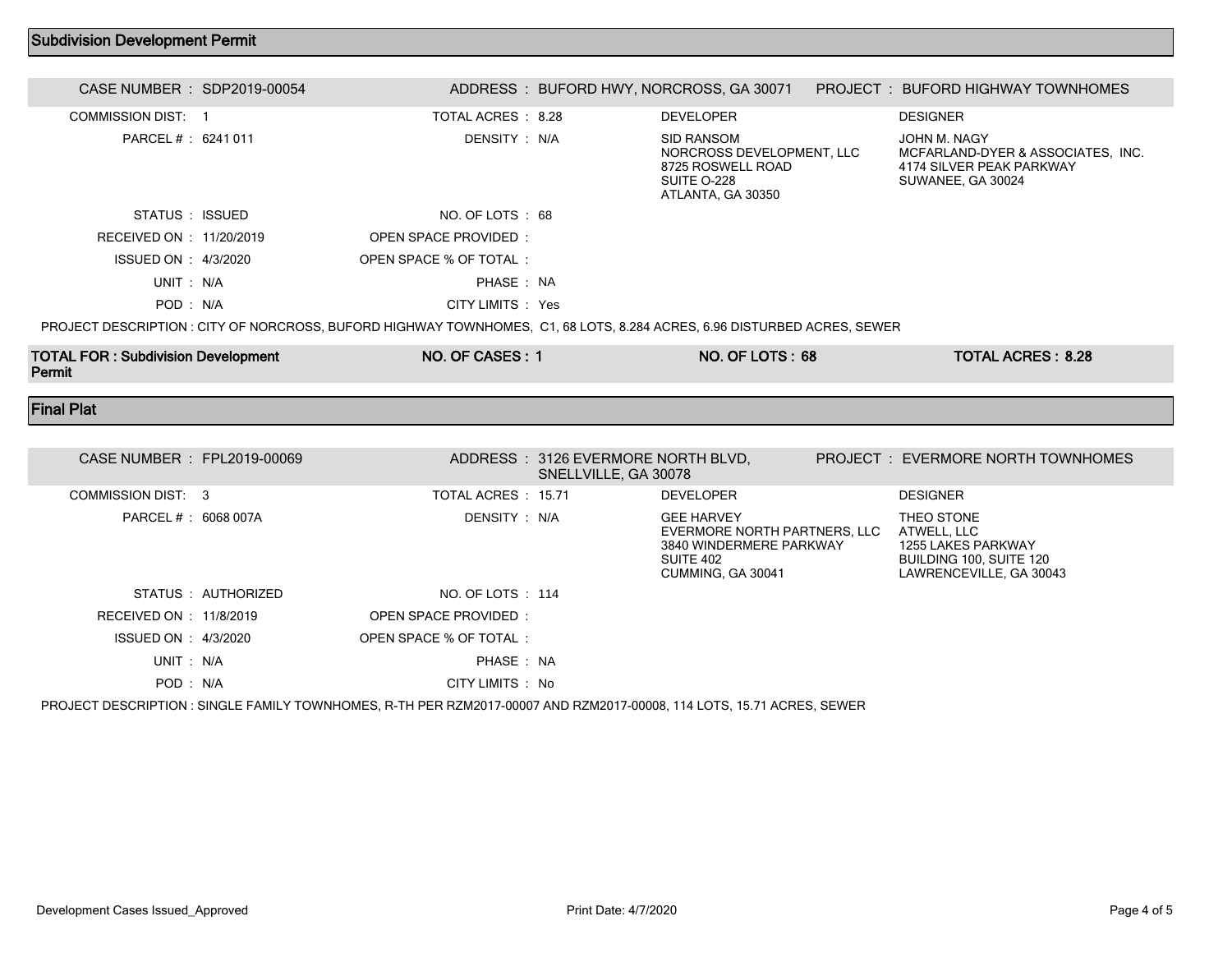## Subdivision Development Permit

| CASE NUMBER : SDP2019-00054                                                                                            |                       | ADDRESS : BUFORD HWY, NORCROSS, GA 30071                                                                | PROJECT: BUFORD HIGHWAY TOWNHOMES                                                                  |  |
|------------------------------------------------------------------------------------------------------------------------|-----------------------|---------------------------------------------------------------------------------------------------------|----------------------------------------------------------------------------------------------------|--|
| <b>COMMISSION DIST: 1</b>                                                                                              | TOTAL ACRES: 8.28     | <b>DEVELOPER</b>                                                                                        | <b>DESIGNER</b>                                                                                    |  |
| PARCEL # : 6241 011                                                                                                    | DENSITY : N/A         | <b>SID RANSOM</b><br>NORCROSS DEVELOPMENT, LLC<br>8725 ROSWELL ROAD<br>SUITE O-228<br>ATLANTA, GA 30350 | JOHN M. NAGY<br>MCFARLAND-DYER & ASSOCIATES, INC.<br>4174 SILVER PEAK PARKWAY<br>SUWANEE, GA 30024 |  |
| STATUS : ISSUED                                                                                                        | NO. OF LOTS: 68       |                                                                                                         |                                                                                                    |  |
| RECEIVED ON : 11/20/2019                                                                                               | OPEN SPACE PROVIDED:  |                                                                                                         |                                                                                                    |  |
| ISSUED ON : 4/3/2020                                                                                                   | OPEN SPACE % OF TOTAL |                                                                                                         |                                                                                                    |  |
| UNIT: N/A                                                                                                              | PHASE: NA             |                                                                                                         |                                                                                                    |  |
| POD: N/A                                                                                                               | CITY LIMITS : Yes     |                                                                                                         |                                                                                                    |  |
| PROJECT DESCRIPTION: CITY OF NORCROSS, BUFORD HIGHWAY TOWNHOMES, C1, 68 LOTS, 8.284 ACRES, 6.96 DISTURBED ACRES, SEWER |                       |                                                                                                         |                                                                                                    |  |

TOTAL FOR : Subdivision Development Permit NO. OF CASES : 1 NO. OF LOTS : 68 TOTAL ACRES : 8.28

Final Plat

| CASE NUMBER : FPL2019-00069 |                   |                                                                                                                       | ADDRESS: 3126 EVERMORE NORTH BLVD.<br>SNELLVILLE, GA 30078 |                                                                                                                | PROJECT : EVERMORE NORTH TOWNHOMES                                                                    |
|-----------------------------|-------------------|-----------------------------------------------------------------------------------------------------------------------|------------------------------------------------------------|----------------------------------------------------------------------------------------------------------------|-------------------------------------------------------------------------------------------------------|
| COMMISSION DIST: 3          |                   | TOTAL ACRES : 15.71                                                                                                   |                                                            | <b>DEVELOPER</b>                                                                                               | <b>DESIGNER</b>                                                                                       |
| PARCEL # : 6068 007A        |                   | DENSITY : N/A                                                                                                         |                                                            | <b>GEE HARVEY</b><br>EVERMORE NORTH PARTNERS, LLC<br>3840 WINDERMERE PARKWAY<br>SUITE 402<br>CUMMING, GA 30041 | THEO STONE<br>ATWELL, LLC<br>1255 LAKES PARKWAY<br>BUILDING 100, SUITE 120<br>LAWRENCEVILLE, GA 30043 |
|                             | STATUS AUTHORIZED | NO. OF LOTS : 114                                                                                                     |                                                            |                                                                                                                |                                                                                                       |
| RECEIVED ON : 11/8/2019     |                   | OPEN SPACE PROVIDED:                                                                                                  |                                                            |                                                                                                                |                                                                                                       |
| ISSUED ON : 4/3/2020        |                   | OPEN SPACE % OF TOTAL:                                                                                                |                                                            |                                                                                                                |                                                                                                       |
| UNIT : N/A                  |                   | PHASE: NA                                                                                                             |                                                            |                                                                                                                |                                                                                                       |
| POD: N/A                    |                   | CITY LIMITS : No                                                                                                      |                                                            |                                                                                                                |                                                                                                       |
|                             |                   | PROJECT DESCRIPTION : SINGLE FAMILY TOWNHOMES, R-TH PER RZM2017-00007 AND RZM2017-00008, 114 LOTS, 15.71 ACRES, SEWER |                                                            |                                                                                                                |                                                                                                       |